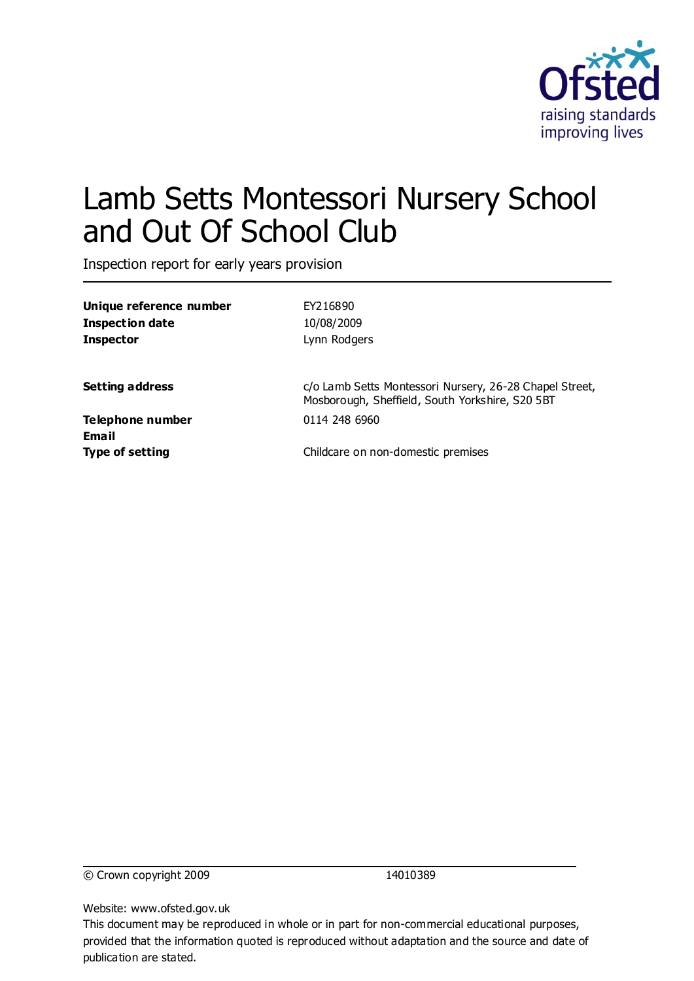

# Lamb Setts Montessori Nursery School and Out Of School Club

Inspection report for early years provision

| Unique reference number | EY216890                                                                                                   |  |  |
|-------------------------|------------------------------------------------------------------------------------------------------------|--|--|
| <b>Inspection date</b>  | 10/08/2009                                                                                                 |  |  |
| <b>Inspector</b>        | Lynn Rodgers                                                                                               |  |  |
| <b>Setting address</b>  | c/o Lamb Setts Montessori Nursery, 26-28 Chapel Street,<br>Mosborough, Sheffield, South Yorkshire, S20 5BT |  |  |
| <b>Telephone number</b> | 0114 248 6960                                                                                              |  |  |
| Email                   |                                                                                                            |  |  |
| <b>Type of setting</b>  | Childcare on non-domestic premises                                                                         |  |  |
|                         |                                                                                                            |  |  |
|                         |                                                                                                            |  |  |

© Crown copyright 2009 14010389

Website: www.ofsted.gov.uk

This document may be reproduced in whole or in part for non-commercial educational purposes, provided that the information quoted is reproduced without adaptation and the source and date of publication are stated.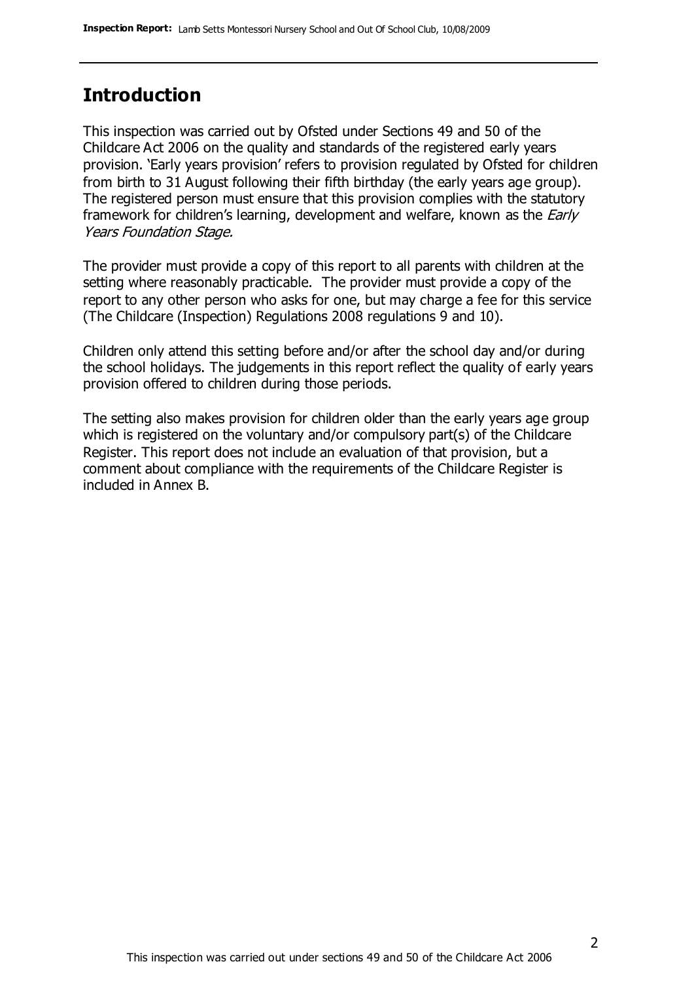#### **Introduction**

This inspection was carried out by Ofsted under Sections 49 and 50 of the Childcare Act 2006 on the quality and standards of the registered early years provision. 'Early years provision' refers to provision regulated by Ofsted for children from birth to 31 August following their fifth birthday (the early years age group). The registered person must ensure that this provision complies with the statutory framework for children's learning, development and welfare, known as the *Early* Years Foundation Stage.

The provider must provide a copy of this report to all parents with children at the setting where reasonably practicable. The provider must provide a copy of the report to any other person who asks for one, but may charge a fee for this service (The Childcare (Inspection) Regulations 2008 regulations 9 and 10).

Children only attend this setting before and/or after the school day and/or during the school holidays. The judgements in this report reflect the quality of early years provision offered to children during those periods.

The setting also makes provision for children older than the early years age group which is registered on the voluntary and/or compulsory part(s) of the Childcare Register. This report does not include an evaluation of that provision, but a comment about compliance with the requirements of the Childcare Register is included in Annex B.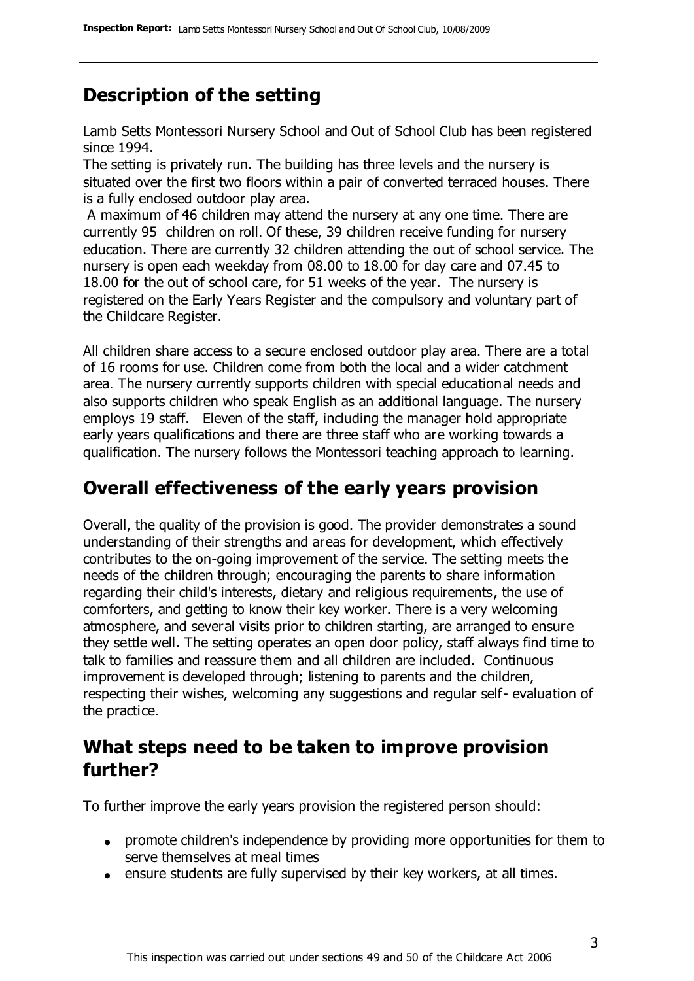### **Description of the setting**

Lamb Setts Montessori Nursery School and Out of School Club has been registered since 1994.

The setting is privately run. The building has three levels and the nursery is situated over the first two floors within a pair of converted terraced houses. There is a fully enclosed outdoor play area.

A maximum of 46 children may attend the nursery at any one time. There are currently 95 children on roll. Of these, 39 children receive funding for nursery education. There are currently 32 children attending the out of school service. The nursery is open each weekday from 08.00 to 18.00 for day care and 07.45 to 18.00 for the out of school care, for 51 weeks of the year. The nursery is registered on the Early Years Register and the compulsory and voluntary part of the Childcare Register.

All children share access to a secure enclosed outdoor play area. There are a total of 16 rooms for use. Children come from both the local and a wider catchment area. The nursery currently supports children with special educational needs and also supports children who speak English as an additional language. The nursery employs 19 staff. Eleven of the staff, including the manager hold appropriate early years qualifications and there are three staff who are working towards a qualification. The nursery follows the Montessori teaching approach to learning.

#### **Overall effectiveness of the early years provision**

Overall, the quality of the provision is good. The provider demonstrates a sound understanding of their strengths and areas for development, which effectively contributes to the on-going improvement of the service. The setting meets the needs of the children through; encouraging the parents to share information regarding their child's interests, dietary and religious requirements, the use of comforters, and getting to know their key worker. There is a very welcoming atmosphere, and several visits prior to children starting, are arranged to ensure they settle well. The setting operates an open door policy, staff always find time to talk to families and reassure them and all children are included. Continuous improvement is developed through; listening to parents and the children, respecting their wishes, welcoming any suggestions and regular self- evaluation of the practice.

#### **What steps need to be taken to improve provision further?**

To further improve the early years provision the registered person should:

- promote children's independence by providing more opportunities for them to serve themselves at meal times
- ensure students are fully supervised by their key workers, at all times.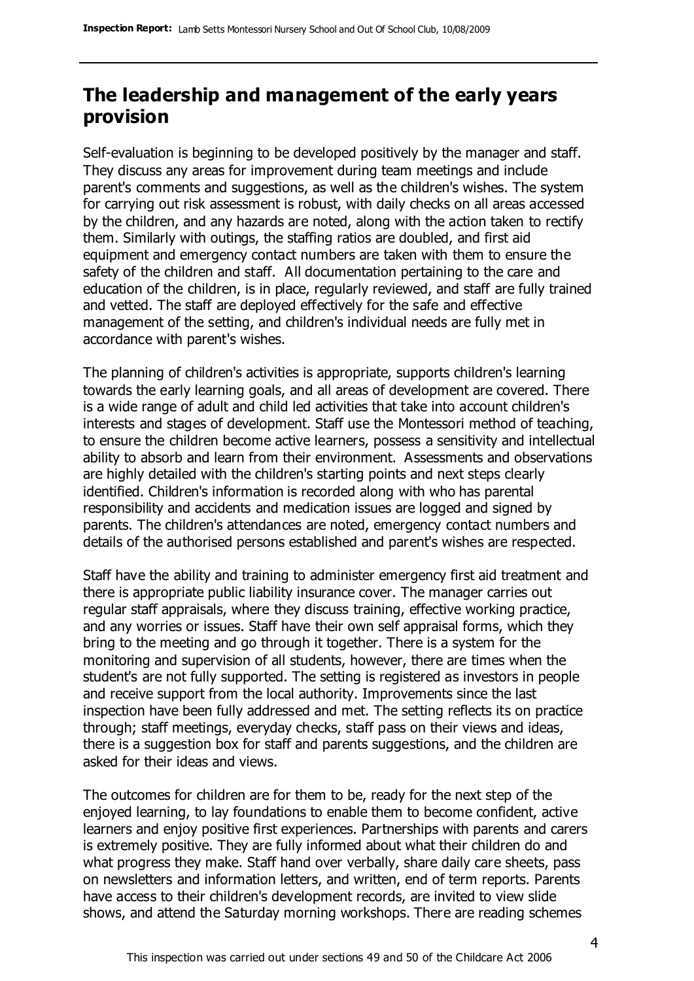### **The leadership and management of the early years provision**

Self-evaluation is beginning to be developed positively by the manager and staff. They discuss any areas for improvement during team meetings and include parent's comments and suggestions, as well as the children's wishes. The system for carrying out risk assessment is robust, with daily checks on all areas accessed by the children, and any hazards are noted, along with the action taken to rectify them. Similarly with outings, the staffing ratios are doubled, and first aid equipment and emergency contact numbers are taken with them to ensure the safety of the children and staff. All documentation pertaining to the care and education of the children, is in place, regularly reviewed, and staff are fully trained and vetted. The staff are deployed effectively for the safe and effective management of the setting, and children's individual needs are fully met in accordance with parent's wishes.

The planning of children's activities is appropriate, supports children's learning towards the early learning goals, and all areas of development are covered. There is a wide range of adult and child led activities that take into account children's interests and stages of development. Staff use the Montessori method of teaching, to ensure the children become active learners, possess a sensitivity and intellectual ability to absorb and learn from their environment. Assessments and observations are highly detailed with the children's starting points and next steps clearly identified. Children's information is recorded along with who has parental responsibility and accidents and medication issues are logged and signed by parents. The children's attendances are noted, emergency contact numbers and details of the authorised persons established and parent's wishes are respected.

Staff have the ability and training to administer emergency first aid treatment and there is appropriate public liability insurance cover. The manager carries out regular staff appraisals, where they discuss training, effective working practice, and any worries or issues. Staff have their own self appraisal forms, which they bring to the meeting and go through it together. There is a system for the monitoring and supervision of all students, however, there are times when the student's are not fully supported. The setting is registered as investors in people and receive support from the local authority. Improvements since the last inspection have been fully addressed and met. The setting reflects its on practice through; staff meetings, everyday checks, staff pass on their views and ideas, there is a suggestion box for staff and parents suggestions, and the children are asked for their ideas and views.

The outcomes for children are for them to be, ready for the next step of the enjoyed learning, to lay foundations to enable them to become confident, active learners and enjoy positive first experiences. Partnerships with parents and carers is extremely positive. They are fully informed about what their children do and what progress they make. Staff hand over verbally, share daily care sheets, pass on newsletters and information letters, and written, end of term reports. Parents have access to their children's development records, are invited to view slide shows, and attend the Saturday morning workshops. There are reading schemes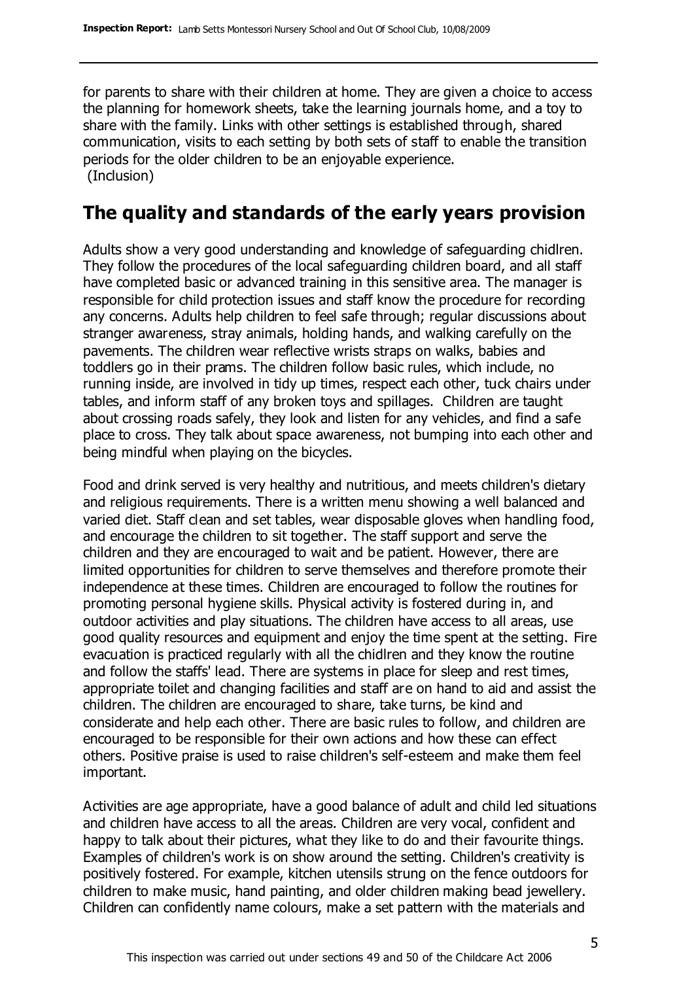for parents to share with their children at home. They are given a choice to access the planning for homework sheets, take the learning journals home, and a toy to share with the family. Links with other settings is established through, shared communication, visits to each setting by both sets of staff to enable the transition periods for the older children to be an enjoyable experience. (Inclusion)

#### **The quality and standards of the early years provision**

Adults show a very good understanding and knowledge of safeguarding chidlren. They follow the procedures of the local safeguarding children board, and all staff have completed basic or advanced training in this sensitive area. The manager is responsible for child protection issues and staff know the procedure for recording any concerns. Adults help children to feel safe through; regular discussions about stranger awareness, stray animals, holding hands, and walking carefully on the pavements. The children wear reflective wrists straps on walks, babies and toddlers go in their prams. The children follow basic rules, which include, no running inside, are involved in tidy up times, respect each other, tuck chairs under tables, and inform staff of any broken toys and spillages. Children are taught about crossing roads safely, they look and listen for any vehicles, and find a safe place to cross. They talk about space awareness, not bumping into each other and being mindful when playing on the bicycles.

Food and drink served is very healthy and nutritious, and meets children's dietary and religious requirements. There is a written menu showing a well balanced and varied diet. Staff clean and set tables, wear disposable gloves when handling food, and encourage the children to sit together. The staff support and serve the children and they are encouraged to wait and be patient. However, there are limited opportunities for children to serve themselves and therefore promote their independence at these times. Children are encouraged to follow the routines for promoting personal hygiene skills. Physical activity is fostered during in, and outdoor activities and play situations. The children have access to all areas, use good quality resources and equipment and enjoy the time spent at the setting. Fire evacuation is practiced regularly with all the chidlren and they know the routine and follow the staffs' lead. There are systems in place for sleep and rest times, appropriate toilet and changing facilities and staff are on hand to aid and assist the children. The children are encouraged to share, take turns, be kind and considerate and help each other. There are basic rules to follow, and children are encouraged to be responsible for their own actions and how these can effect others. Positive praise is used to raise children's self-esteem and make them feel important.

Activities are age appropriate, have a good balance of adult and child led situations and children have access to all the areas. Children are very vocal, confident and happy to talk about their pictures, what they like to do and their favourite things. Examples of children's work is on show around the setting. Children's creativity is positively fostered. For example, kitchen utensils strung on the fence outdoors for children to make music, hand painting, and older children making bead jewellery. Children can confidently name colours, make a set pattern with the materials and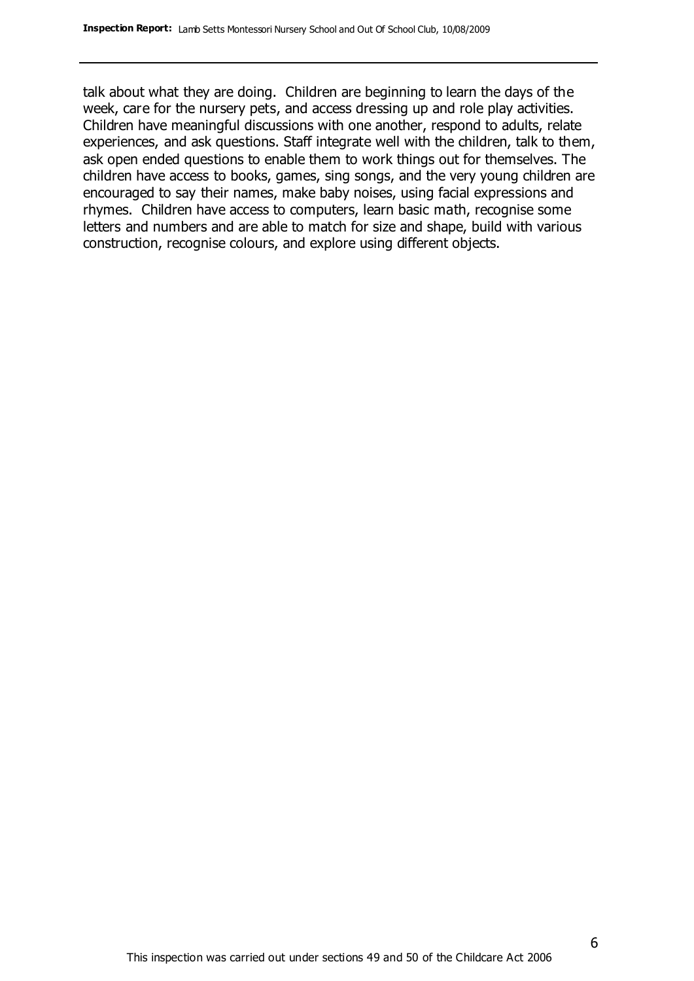talk about what they are doing. Children are beginning to learn the days of the week, care for the nursery pets, and access dressing up and role play activities. Children have meaningful discussions with one another, respond to adults, relate experiences, and ask questions. Staff integrate well with the children, talk to them, ask open ended questions to enable them to work things out for themselves. The children have access to books, games, sing songs, and the very young children are encouraged to say their names, make baby noises, using facial expressions and rhymes. Children have access to computers, learn basic math, recognise some letters and numbers and are able to match for size and shape, build with various construction, recognise colours, and explore using different objects.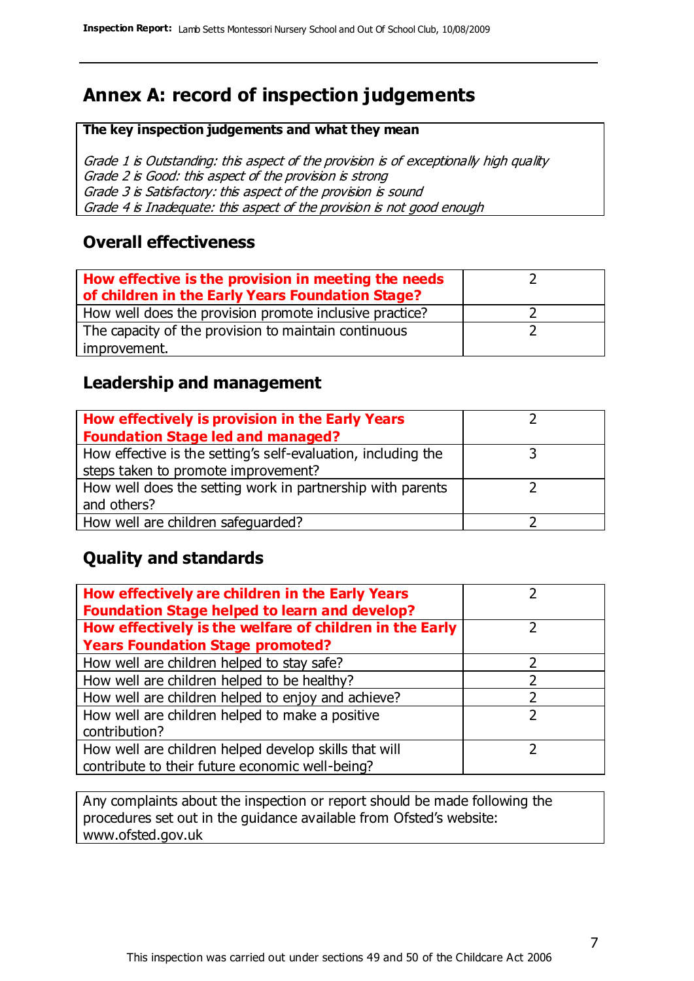## **Annex A: record of inspection judgements**

#### **The key inspection judgements and what they mean**

Grade 1 is Outstanding: this aspect of the provision is of exceptionally high quality Grade 2 is Good: this aspect of the provision is strong Grade 3 is Satisfactory: this aspect of the provision is sound Grade 4 is Inadequate: this aspect of the provision is not good enough

#### **Overall effectiveness**

| How effective is the provision in meeting the needs<br>of children in the Early Years Foundation Stage? |  |
|---------------------------------------------------------------------------------------------------------|--|
| How well does the provision promote inclusive practice?                                                 |  |
| The capacity of the provision to maintain continuous                                                    |  |
| improvement.                                                                                            |  |

#### **Leadership and management**

| How effectively is provision in the Early Years               |  |
|---------------------------------------------------------------|--|
| <b>Foundation Stage led and managed?</b>                      |  |
| How effective is the setting's self-evaluation, including the |  |
| steps taken to promote improvement?                           |  |
| How well does the setting work in partnership with parents    |  |
| and others?                                                   |  |
| How well are children safeguarded?                            |  |

#### **Quality and standards**

| How effectively are children in the Early Years<br><b>Foundation Stage helped to learn and develop?</b> |               |
|---------------------------------------------------------------------------------------------------------|---------------|
| How effectively is the welfare of children in the Early                                                 |               |
| <b>Years Foundation Stage promoted?</b>                                                                 |               |
| How well are children helped to stay safe?                                                              | っ             |
| How well are children helped to be healthy?                                                             |               |
| How well are children helped to enjoy and achieve?                                                      | າ             |
| How well are children helped to make a positive                                                         | $\mathcal{P}$ |
| contribution?                                                                                           |               |
| How well are children helped develop skills that will                                                   |               |
| contribute to their future economic well-being?                                                         |               |

Any complaints about the inspection or report should be made following the procedures set out in the guidance available from Ofsted's website: www.ofsted.gov.uk